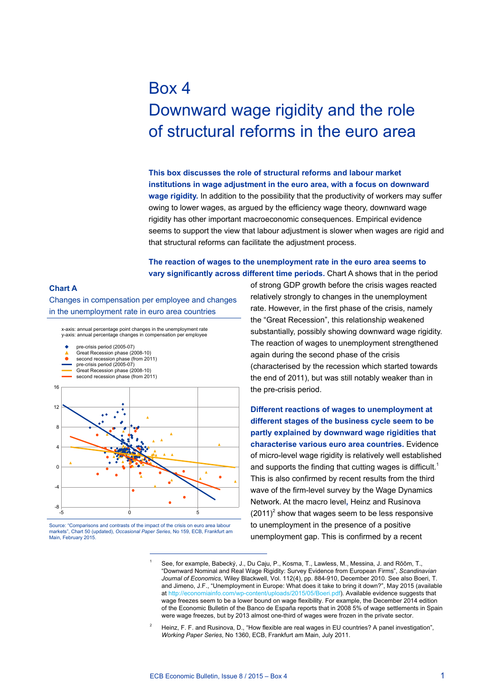# Box 4 Downward wage rigidity and the role of structural reforms in the euro area

**This box discusses the role of structural reforms and labour market institutions in wage adjustment in the euro area, with a focus on downward wage rigidity.** In addition to the possibility that the productivity of workers may suffer owing to lower wages, as argued by the efficiency wage theory, downward wage rigidity has other important macroeconomic consequences. Empirical evidence seems to support the view that labour adjustment is slower when wages are rigid and that structural reforms can facilitate the adjustment process.

# **The reaction of wages to the unemployment rate in the euro area seems to vary significantly across different time periods.** Chart A shows that in the period

### **Chart A**

Changes in compensation per employee and changes in the unemployment rate in euro area countries

y-axis: annual percentage changes in compensation per employee x-axis: annual percentage point changes in the unemployment rate

- pre-crisis period (2005-07)
- Great Recession phase (2008-10)
- $\bullet$ second recession phase (from 2011) pre-crisis period (2005-07)
- 
- Great Recession phase (2008-10) second recession phase (from 2011)



Source: "Comparisons and contrasts of the impact of the crisis on euro area labour markets", Chart 50 (updated), *Occasional Paper Series*, No 159, ECB, Frankfurt am Main, February 2015

of strong GDP growth before the crisis wages reacted relatively strongly to changes in the unemployment rate. However, in the first phase of the crisis, namely the "Great Recession", this relationship weakened substantially, possibly showing downward wage rigidity. The reaction of wages to unemployment strengthened again during the second phase of the crisis (characterised by the recession which started towards the end of 2011), but was still notably weaker than in the pre-crisis period.

**Different reactions of wages to unemployment at different stages of the business cycle seem to be partly explained by downward wage rigidities that characterise various euro area countries.** Evidence of micro-level wage rigidity is relatively well established and supports the finding that cutting wages is difficult.<sup>1</sup> This is also confirmed by recent results from the third wave of the firm-level survey by the Wage Dynamics Network. At the macro level**,** Heinz and Rusinova  $(2011)^2$  show that wages seem to be less responsive to unemployment in the presence of a positive unemployment gap. This is confirmed by a recent

<sup>2</sup> Heinz, F. F. and Rusinova, D., "How flexible are real wages in EU countries? A panel investigation", *Working Paper Series*, No 1360, ECB, Frankfurt am Main, July 2011.

See, for example, Babecký, J., Du Caju, P., Kosma, T., Lawless, M., Messina, J. and Rõõm, T., "Downward Nominal and Real Wage Rigidity: Survey Evidence from European Firms", *Scandinavian Journal of Economics*, Wiley Blackwell, Vol. 112(4), pp. 884-910, December 2010. See also Boeri, T. and Jimeno, J.F., "Unemployment in Europe: What does it take to bring it down?", May 2015 (available at [http://economiainfo.com/wp-content/uploads/2015/05/Boeri.pdf\)](http://economiainfo.com/wp-content/uploads/2015/05/Boeri.pdf). Available evidence suggests that wage freezes seem to be a lower bound on wage flexibility. For example, the December 2014 edition of the Economic Bulletin of the Banco de España reports that in 2008 5% of wage settlements in Spain were wage freezes, but by 2013 almost one-third of wages were frozen in the private sector.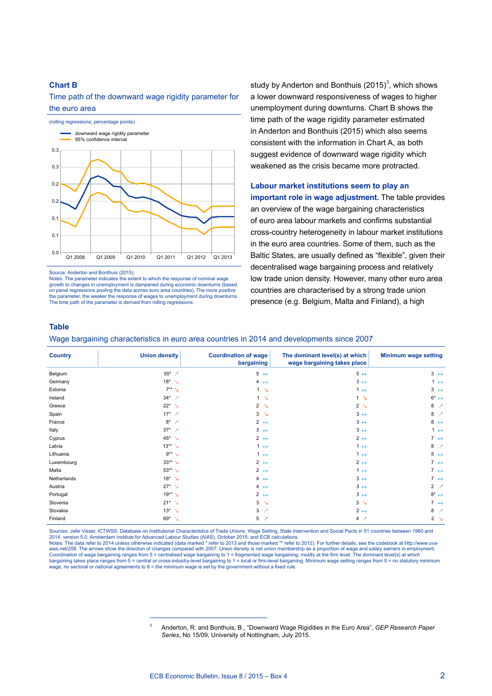#### **Chart B**

Time path of the downward wage rigidity parameter for the euro area



Source: Anderton and Bonthuis (2015).

Notes: The parameter indicates the extent to which the response of nominal wage growth to changes in unemployment is dampened during economic downturns (based on panel regressions pooling the data across euro area countries). The more positive the narameter, the weaker the response of wages to unemployment during downturns parameter, the weaker the response of wages to unemployment during downturns. The time path of the parameter is derived from rolling regressions.

study by Anderton and Bonthuis (2015)<sup>3</sup>, which shows a lower downward responsiveness of wages to higher unemployment during downturns. Chart B shows the time path of the wage rigidity parameter estimated in Anderton and Bonthuis (2015) which also seems consistent with the information in Chart A, as both suggest evidence of downward wage rigidity which weakened as the crisis became more protracted.

# **Labour market institutions seem to play an**

**important role in wage adjustment.** The table provides an overview of the wage bargaining characteristics of euro area labour markets and confirms substantial cross-country heterogeneity in labour market institutions in the euro area countries. Some of them, such as the Baltic States, are usually defined as "flexible", given their decentralised wage bargaining process and relatively low trade union density. However, many other euro area countries are characterised by a strong trade union presence (e.g. Belgium, Malta and Finland), a high

#### **Table**

Wage bargaining characteristics in euro area countries in 2014 and developments since 2007

| <b>Country</b> | <b>Union density</b>             | <b>Coordination of wage</b><br>bargaining | The dominant level(s) at which<br>wage bargaining takes place | <b>Minimum wage setting</b>   |
|----------------|----------------------------------|-------------------------------------------|---------------------------------------------------------------|-------------------------------|
| Belgium        | 55* $\sqrt{2}$                   | $5 \leftrightarrow$                       | $5 \leftrightarrow$                                           | $3 \leftrightarrow$           |
| Germany        | $18^*$ $\lambda$                 | $4 \leftrightarrow$                       | $3 \leftrightarrow$                                           | $1 \leftrightarrow$           |
| Estonia        | $7**\searrow$                    | 1 <sup>2</sup>                            | $1 \leftrightarrow$                                           | $3 \leftrightarrow$           |
| Ireland        | $34*$ 7                          | 1 <sup>2</sup>                            | $1 \searrow$                                                  | $6^* \leftrightarrow$         |
| Greece         | $22^*$ $\lambda$                 | $\overline{2}$<br>$\Delta$                | 2 <sub>1</sub>                                                | 8<br>↗                        |
| Spain          | $17^*$ 7                         | 3<br>$\Delta$                             | $3 \leftrightarrow$                                           | 8<br>↗                        |
| France         | $8*$<br>$\overline{\phantom{a}}$ | 2 $\leftrightarrow$                       | $3 \leftrightarrow$                                           | $8 \leftrightarrow$           |
| Italy          | $37^*$ 7                         | $3 \leftrightarrow$                       | $3 \leftrightarrow$                                           | $1 \leftrightarrow$           |
| Cyprus         | $45^*$ $\lambda$                 | 2 $\leftrightarrow$                       | $2 \leftrightarrow$                                           | 7 $\leftrightarrow$           |
| Latvia         | $13**$ $\lambda$                 | $1 \leftrightarrow$                       | $1 \leftrightarrow$                                           | 8<br>$\overline{\phantom{a}}$ |
| Lithuania      | $9**$                            | $1 \leftrightarrow$                       | $1 \leftrightarrow$                                           | $5 \leftrightarrow$           |
| Luxembourg     | $33**$ $\searrow$                | 2 $\leftrightarrow$                       | $2 \leftrightarrow$                                           | $7 \leftrightarrow$           |
| Malta          | $53**$ $\searrow$                | 2 $\leftrightarrow$                       | $1 \leftrightarrow$                                           | $7 \leftrightarrow$           |
| Netherlands    | $18^*$ $\lambda$                 | $4 \leftrightarrow$                       | $3 \leftrightarrow$                                           | 7 $\leftrightarrow$           |
| Austria        | $27^*$ $\lambda$                 | $4 \leftrightarrow$                       | $3 \leftrightarrow$                                           | $2 \times$                    |
| Portugal       | $19**$ $\searrow$                | $2 \leftrightarrow$                       | $3 \leftrightarrow$                                           | $8^* \leftrightarrow$         |
| Slovenia       | $21^*$ $\lambda$                 | 3<br>$\mathbf{v}$                         | $3 \searrow$                                                  | $7 \leftrightarrow$           |
| Slovakia       | $13^*$ $\lambda$                 | 3<br>↗                                    | $2 \leftrightarrow$                                           | 8<br>↗                        |
| Finland        | $69*$ $\sqrt{ }$                 | 5<br>↗                                    | $4 \times$                                                    | 2 <sub>1</sub>                |

Sources: Jelle Visser, ICTWSS: Database on Institutional Characteristics of Trade Unions, Wage Setting, State Intervention and Social Pacts in 51 countries between 1960 and<br>2014, version 5.0, Amsterdam Institute for Advanc

Notes: The data refer to 2014 unless otherwise indicated (data marked \* refer to 2013 and those marked \*\* refer to 2012). For further details, see the codebook at http://www.uvaaias.net/208. The arrows show the direction of changes compared with 2007. Union density is net union membership as a proportion of wage and salary earners in employment.<br>Coordination of wage bargaining ranges from 5 = cen bargaining takes place ranges from 5 = central or cross-industry-level bargaining to 1 = local or firm-level bargaining. Minimum wage setting ranges from 0 = no statutory minimum<br>wage, no sectoral or national agreements to

<sup>3</sup> Anderton, R. and Bonthuis, B., "Downward Wage Rigidities in the Euro Area", *GEP Research Paper Series*, No 15/09, University of Nottingham, July 2015.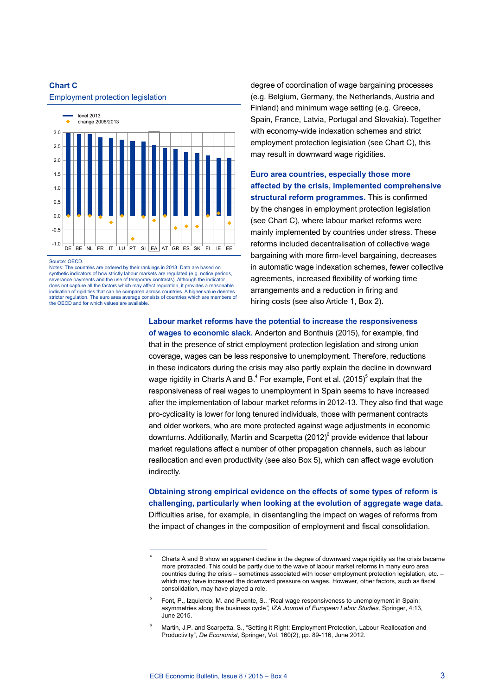

# **Chart C** Employment protection legislation

Source: OECD

Notes: The countries are ordered by their rankings in 2013. Data are based on synthetic indicators of how strictly labour markets are regulated (e.g. notice periods, severance payments and the use of temporary contracts). Although the indicator does not capture all the factors which may affect regulation, it provides a reasonable indication of rigidities that can be compared across countries. A higher value denotes stricter regulation. The euro area average consists of countries which are members of the OECD and for which values are available.

degree of coordination of wage bargaining processes (e.g. Belgium, Germany, the Netherlands, Austria and Finland) and minimum wage setting (e.g. Greece, Spain, France, Latvia, Portugal and Slovakia). Together with economy-wide indexation schemes and strict employment protection legislation (see Chart C), this may result in downward wage rigidities.

**Euro area countries, especially those more affected by the crisis, implemented comprehensive structural reform programmes.** This is confirmed by the changes in employment protection legislation (see Chart C), where labour market reforms were mainly implemented by countries under stress. These reforms included decentralisation of collective wage bargaining with more firm-level bargaining, decreases in automatic wage indexation schemes, fewer collective agreements, increased flexibility of working time arrangements and a reduction in firing and hiring costs (see also Article 1, Box 2).

**Labour market reforms have the potential to increase the responsiveness** 

**of wages to economic slack.** Anderton and Bonthuis (2015), for example, find that in the presence of strict employment protection legislation and strong union coverage, wages can be less responsive to unemployment. Therefore, reductions in these indicators during the crisis may also partly explain the decline in downward wage rigidity in Charts A and B. $^4$  For example, Font et al. (2015) $^5$  explain that the responsiveness of real wages to unemployment in Spain seems to have increased after the implementation of labour market reforms in 2012-13. They also find that wage pro-cyclicality is lower for long tenured individuals, those with permanent contracts and older workers, who are more protected against wage adjustments in economic downturns. Additionally, Martin and Scarpetta  $(2012)^6$  provide evidence that labour market regulations affect a number of other propagation channels, such as labour reallocation and even productivity (see also Box 5), which can affect wage evolution indirectly.

**Obtaining strong empirical evidence on the effects of some types of reform is challenging, particularly when looking at the evolution of aggregate wage data.**  Difficulties arise, for example, in disentangling the impact on wages of reforms from the impact of changes in the composition of employment and fiscal consolidation.

<sup>4</sup> Charts A and B show an apparent decline in the degree of downward wage rigidity as the crisis became more protracted. This could be partly due to the wave of labour market reforms in many euro area countries during the crisis – sometimes associated with looser employment protection legislation, etc. – which may have increased the downward pressure on wages. However, other factors, such as fiscal consolidation, may have played a role.

<sup>5</sup> Font, P., Izquierdo, M. and Puente, S., "Real wage responsiveness to unemployment in Spain: asymmetries along the business cycle*", IZA Journal of European Labor Studies,* Springer, 4:13, June 2015.

<sup>6</sup> Martin, J.P. and Scarpetta, S., "Setting it Right: Employment Protection, Labour Reallocation and Productivity", *De Economist*, Springer, Vol. 160(2), pp. 89-116, June 2012.